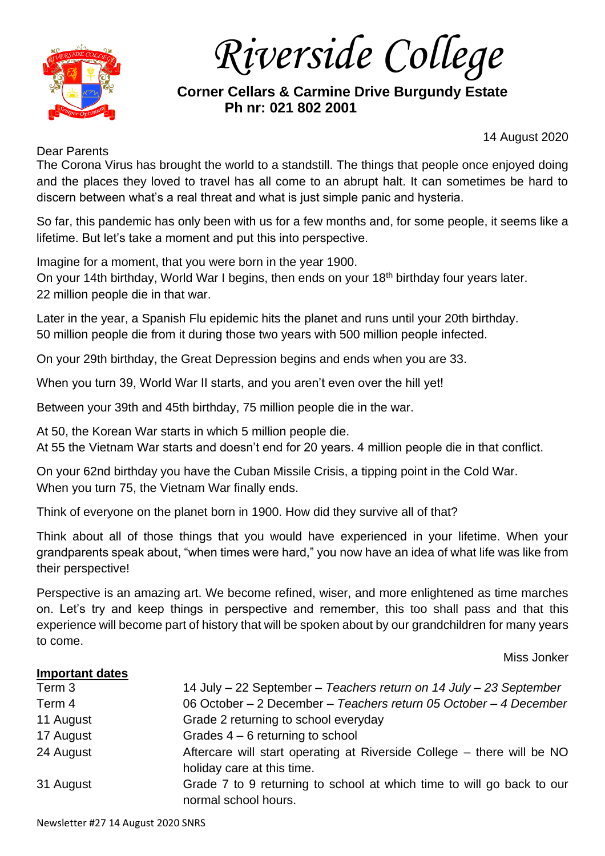

*Riverside College*

# **Corner Cellars & Carmine Drive Burgundy Estate Ph nr: 021 802 2001**

Dear Parents

14 August 2020

The Corona Virus has brought the world to a standstill. The things that people once enjoyed doing and the places they loved to travel has all come to an abrupt halt. It can sometimes be hard to discern between what's a real threat and what is just simple panic and hysteria.

So far, this pandemic has only been with us for a few months and, for some people, it seems like a lifetime. But let's take a moment and put this into perspective.

Imagine for a moment, that you were born in the year 1900.

On your 14th birthday, World War I begins, then ends on your 18<sup>th</sup> birthday four years later. 22 million people die in that war.

Later in the year, a Spanish Flu epidemic hits the planet and runs until your 20th birthday. 50 million people die from it during those two years with 500 million people infected.

On your 29th birthday, the Great Depression begins and ends when you are 33.

When you turn 39, World War II starts, and you aren't even over the hill yet!

Between your 39th and 45th birthday, 75 million people die in the war.

At 50, the Korean War starts in which 5 million people die.

At 55 the Vietnam War starts and doesn't end for 20 years. 4 million people die in that conflict.

On your 62nd birthday you have the Cuban Missile Crisis, a tipping point in the Cold War. When you turn 75, the Vietnam War finally ends.

Think of everyone on the planet born in 1900. How did they survive all of that?

Think about all of those things that you would have experienced in your lifetime. When your grandparents speak about, "when times were hard," you now have an idea of what life was like from their perspective!

Perspective is an amazing art. We become refined, wiser, and more enlightened as time marches on. Let's try and keep things in perspective and remember, this too shall pass and that this experience will become part of history that will be spoken about by our grandchildren for many years to come.

Miss Jonker

# **Important dates** Term 3 14 July – 22 September – *Teachers return on 14 July – 23 September* Term 4 06 October – 2 December – *Teachers return 05 October – 4 December* 11 August Grade 2 returning to school everyday 17 August Grades 4 – 6 returning to school 24 August **Aftercare will start operating at Riverside College** – there will be NO holiday care at this time. 31 August Grade 7 to 9 returning to school at which time to will go back to our normal school hours.

Newsletter #27 14 August 2020 SNRS